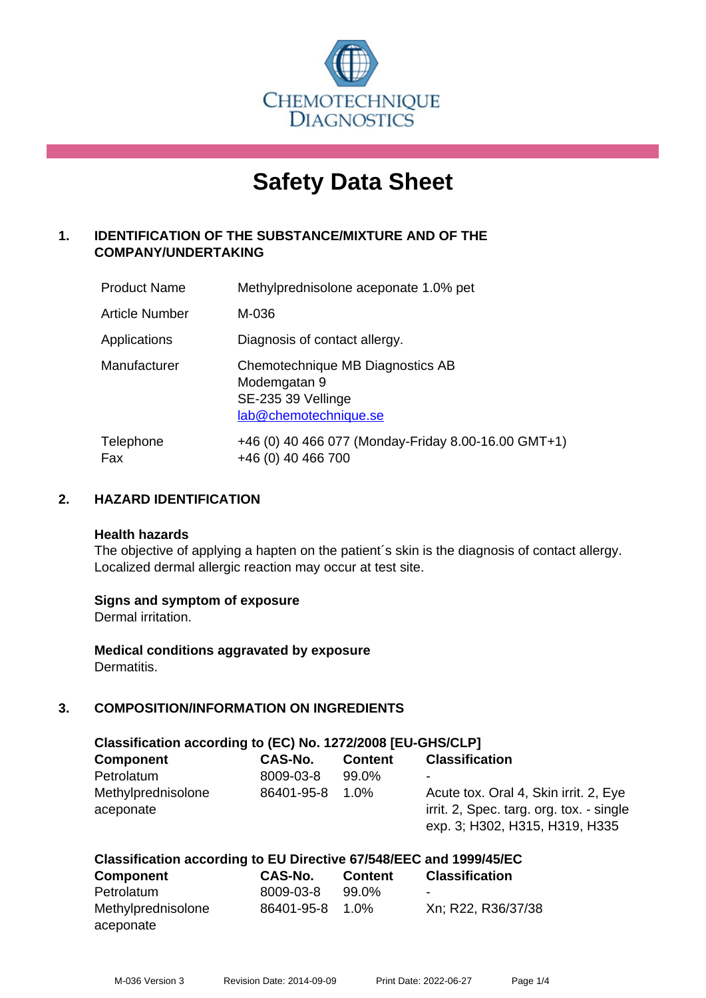

# **Safety Data Sheet**

# **1. IDENTIFICATION OF THE SUBSTANCE/MIXTURE AND OF THE COMPANY/UNDERTAKING**

| <b>Product Name</b> | Methylprednisolone aceponate 1.0% pet                                                           |
|---------------------|-------------------------------------------------------------------------------------------------|
| Article Number      | M-036                                                                                           |
| Applications        | Diagnosis of contact allergy.                                                                   |
| Manufacturer        | Chemotechnique MB Diagnostics AB<br>Modemgatan 9<br>SE-235 39 Vellinge<br>lab@chemotechnique.se |
| Telephone<br>Fax    | +46 (0) 40 466 077 (Monday-Friday 8.00-16.00 GMT+1)<br>+46 (0) 40 466 700                       |

# **2. HAZARD IDENTIFICATION**

#### **Health hazards**

The objective of applying a hapten on the patient's skin is the diagnosis of contact allergy. Localized dermal allergic reaction may occur at test site.

#### **Signs and symptom of exposure**

Dermal irritation.

**Medical conditions aggravated by exposure** Dermatitis.

# **3. COMPOSITION/INFORMATION ON INGREDIENTS**

| Classification according to (EC) No. 1272/2008 [EU-GHS/CLP] |            |                |                                                                                                                     |  |  |
|-------------------------------------------------------------|------------|----------------|---------------------------------------------------------------------------------------------------------------------|--|--|
| <b>Component</b>                                            | CAS-No.    | <b>Content</b> | <b>Classification</b>                                                                                               |  |  |
| Petrolatum                                                  | 8009-03-8  | 99.0%          | $\,$                                                                                                                |  |  |
| Methylprednisolone<br>aceponate                             | 86401-95-8 | 1.0%           | Acute tox. Oral 4, Skin irrit. 2, Eye<br>irrit. 2, Spec. targ. org. tox. - single<br>exp. 3; H302, H315, H319, H335 |  |  |

#### **Classification according to EU Directive 67/548/EEC and 1999/45/EC**

| <b>Component</b>   | CAS-No.    | <b>Content</b> | <b>Classification</b> |
|--------------------|------------|----------------|-----------------------|
| Petrolatum         | 8009-03-8  | 99.0%          | -                     |
| Methylprednisolone | 86401-95-8 | $1.0\%$        | Xn; R22, R36/37/38    |
| aceponate          |            |                |                       |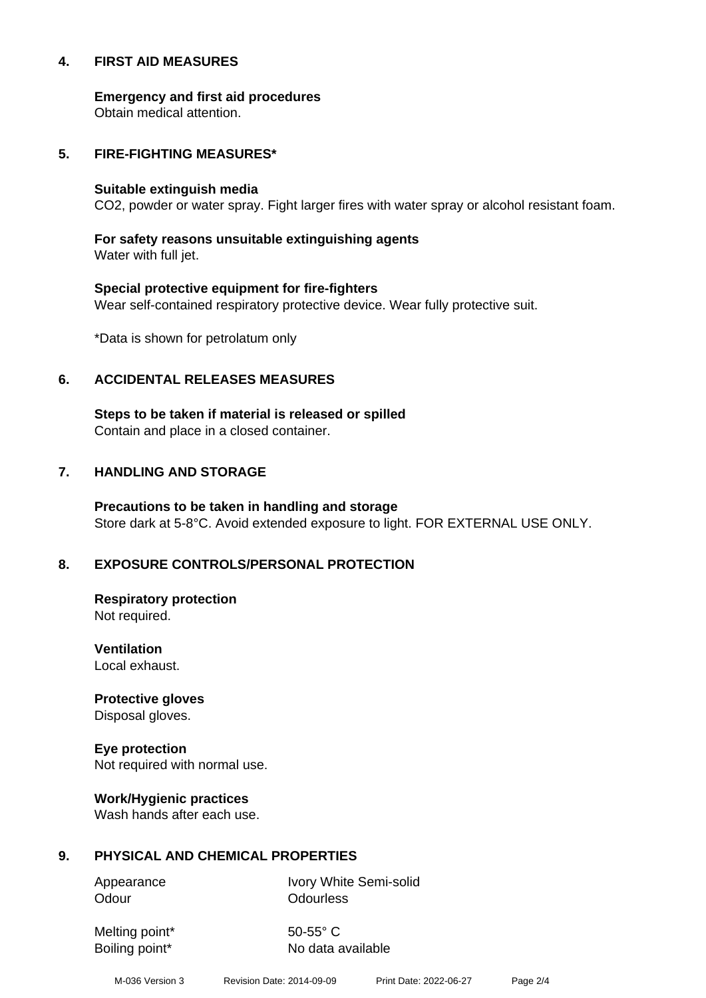#### **4. FIRST AID MEASURES**

**Emergency and first aid procedures**

Obtain medical attention.

#### **5. FIRE-FIGHTING MEASURES\***

#### **Suitable extinguish media**

CO2, powder or water spray. Fight larger fires with water spray or alcohol resistant foam.

# **For safety reasons unsuitable extinguishing agents**

Water with full jet.

# **Special protective equipment for fire-fighters** Wear self-contained respiratory protective device. Wear fully protective suit.

\*Data is shown for petrolatum only

# **6. ACCIDENTAL RELEASES MEASURES**

**Steps to be taken if material is released or spilled** Contain and place in a closed container.

# **7. HANDLING AND STORAGE**

**Precautions to be taken in handling and storage** Store dark at 5-8°C. Avoid extended exposure to light. FOR EXTERNAL USE ONLY.

# **8. EXPOSURE CONTROLS/PERSONAL PROTECTION**

**Respiratory protection** Not required.

**Ventilation** Local exhaust.

**Protective gloves** Disposal gloves.

# **Eye protection**

Not required with normal use.

#### **Work/Hygienic practices**

Wash hands after each use.

#### **9. PHYSICAL AND CHEMICAL PROPERTIES**

Odour **Odourless** 

Appearance Ivory White Semi-solid

Melting point\* 50-55° C

Boiling point\* No data available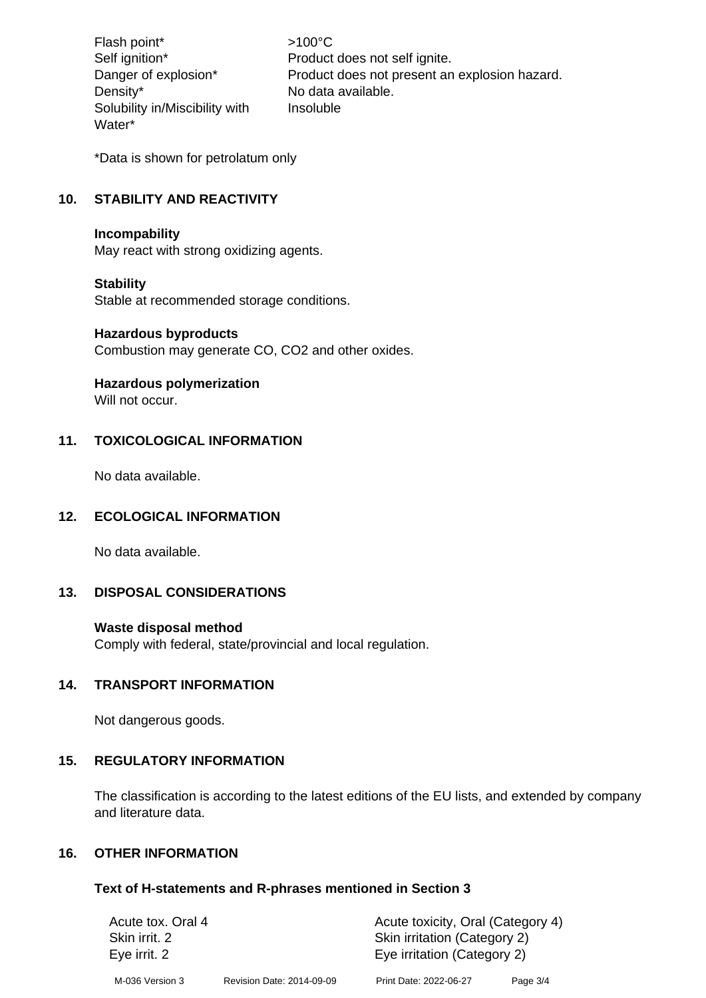Flash point\*  $>100^{\circ}$ C Density\* No data available. Solubility in/Miscibility with Water\*

Self ignition\* Product does not self ignite. Danger of explosion\* Product does not present an explosion hazard. Insoluble

\*Data is shown for petrolatum only

# **10. STABILITY AND REACTIVITY**

#### **Incompability**

May react with strong oxidizing agents.

#### **Stability**

Stable at recommended storage conditions.

#### **Hazardous byproducts**

Combustion may generate CO, CO2 and other oxides.

#### **Hazardous polymerization**

Will not occur.

# **11. TOXICOLOGICAL INFORMATION**

No data available.

#### **12. ECOLOGICAL INFORMATION**

No data available.

# **13. DISPOSAL CONSIDERATIONS**

#### **Waste disposal method**

Comply with federal, state/provincial and local regulation.

#### **14. TRANSPORT INFORMATION**

Not dangerous goods.

#### **15. REGULATORY INFORMATION**

The classification is according to the latest editions of the EU lists, and extended by company and literature data.

#### **16. OTHER INFORMATION**

#### **Text of H-statements and R-phrases mentioned in Section 3**

| Acute tox. Oral 4 |                           | Acute toxicity, Oral (Category 4) |            |  |
|-------------------|---------------------------|-----------------------------------|------------|--|
| Skin irrit. 2     |                           | Skin irritation (Category 2)      |            |  |
| Eye irrit. 2      |                           | Eye irritation (Category 2)       |            |  |
| M-036 Version 3   | Revision Date: 2014-09-09 | Print Date: 2022-06-27            | Page $3/4$ |  |